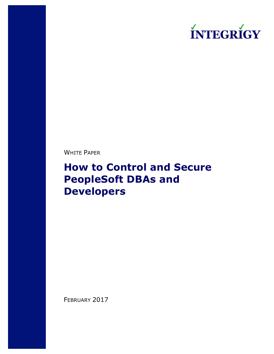

WHITE PAPER

# **How to Control and Secure PeopleSoft DBAs and Developers**

FEBRUARY 2017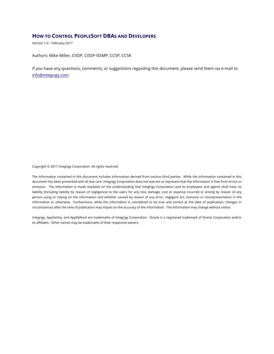#### **HOW TO CONTROL PEOPLESOFT DBAS AND DEVELOPERS**

Version 1.0 – February 2017

Authors: Mike Miller, CISSP, CISSP-ISSMP, CCSP, CCSK

If you have any questions, comments, or suggestions regarding this document, please send them via e-mail to info@integrigy.com.

Copyright © 2017 Integrigy Corporation. All rights reserved.

The Information contained in this document includes information derived from various third parties. While the Information contained in this document has been presented with all due care, Integrigy Corporation does not warrant or represent that the Information is free from errors or omission. The Information is made available on the understanding that Integrigy Corporation and its employees and agents shall have no liability (including liability by reason of negligence) to the users for any loss, damage, cost or expense incurred or arising by reason of any person using or relying on the information and whether caused by reason of any error, negligent act, omission or misrepresentation in the Information or otherwise. Furthermore, while the Information is considered to be true and correct at the date of publication, changes in circumstances after the time of publication may impact on the accuracy of the Information. The Information may change without notice.

Integrigy, AppSentry, and AppDefend are trademarks of Integrigy Corporation. Oracle is a registered trademark of Oracle Corporation and/or its affiliates. Other names may be trademarks of their respective owners.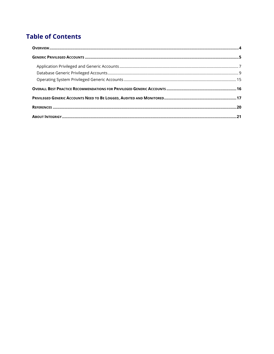## **Table of Contents**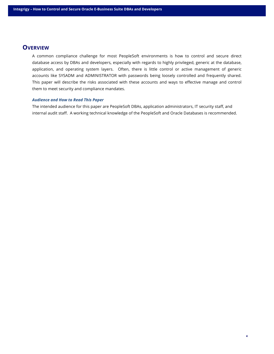#### **OVERVIEW**

A common compliance challenge for most PeopleSoft environments is how to control and secure direct database access by DBAs and developers, especially with regards to highly privileged, generic at the database, application, and operating system layers. Often, there is little control or active management of generic accounts like SYSADM and ADMINISTRATOR with passwords being loosely controlled and frequently shared. This paper will describe the risks associated with these accounts and ways to effective manage and control them to meet security and compliance mandates.

#### *Audience and How to Read This Paper*

The intended audience for this paper are PeopleSoft DBAs, application administrators, IT security staff, and internal audit staff. A working technical knowledge of the PeopleSoft and Oracle Databases is recommended.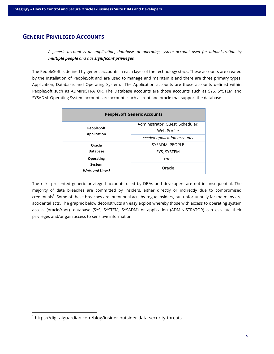## **GENERIC PRIVILEGED ACCOUNTS**

*A generic account is an application, database, or operating system account used for administration by multiple people and has significant privileges*

The PeopleSoft is defined by generic accounts in each layer of the technology stack. These accounts are created by the installation of PeopleSoft and are used to manage and maintain it and there are three primary types: Application, Database, and Operating System. The Application accounts are those accounts defined within PeopleSoft such as ADMINISTRATOR. The Database accounts are those accounts such as SYS, SYSTEM and SYSADM. Operating System accounts are accounts such as root and oracle that support the database.

| <b>PeopleSoft Generic Accounts</b> |                                  |  |  |
|------------------------------------|----------------------------------|--|--|
| <b>PeopleSoft</b>                  | Administrator, Guest, Scheduler, |  |  |
| <b>Application</b>                 | Web Profile                      |  |  |
|                                    | seeded application accounts      |  |  |
| Oracle                             | SYSADM, PEOPLE                   |  |  |
| <b>Database</b>                    | SYS, SYSTEM                      |  |  |
| Operating                          | root                             |  |  |
| System<br>(Unix and Linux)         | Oracle                           |  |  |

The risks presented generic privileged accounts used by DBAs and developers are not inconsequential. The majority of data breaches are committed by insiders, either directly or indirectly due to compromised credentials<sup>1</sup>. Some of these breaches are intentional acts by rogue insiders, but unfortunately far too many are accidental acts. The graphic below deconstructs an easy exploit whereby those with access to operating system access (oracle/root), database (SYS, SYSTEM, SYSADM) or application (ADMINISTRATOR) can escalate their privileges and/or gain access to sensitive information.

<sup>&</sup>lt;sup>1</sup> https://digitalguardian.com/blog/insider-outsider-data-security-threats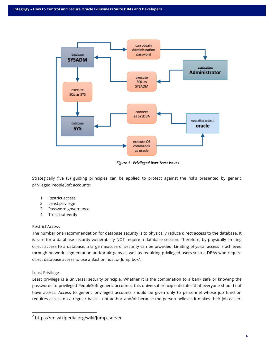

*Figure 1 - Privileged User Trust Issues*

Strategically five (5) guiding principles can be applied to protect against the risks presented by generic privileged PeopleSoft accounts:

- 1. Restrict access
- 2. Least privilege
- 3. Password governance
- 4. Trust-but-verify

#### Restrict Access

The number one recommendation for database security is to physically reduce direct access to the database. It is rare for a database security vulnerability NOT require a database session. Therefore, by physically limiting direct access to a database, a large measure of security can be provided. Limiting physical access is achieved through network segmentation and/or air gaps as well as requiring privileged users such a DBAs who require direct database access to use a Bastion host or Jump box $^2\!$ .

#### Least Privilege

Least privilege is a universal security principle. Whether it is the combination to a bank safe or knowing the passwords to privileged PeopleSoft generic accounts, this universal principle dictates that everyone should not have access. Access to generic privileged accounts should be given only to personnel whose job function requires access on a regular basis – not ad-hoc and/or because the person believes it makes their job easier.

 <sup>2</sup> https://en.wikipedia.org/wiki/Jump\_server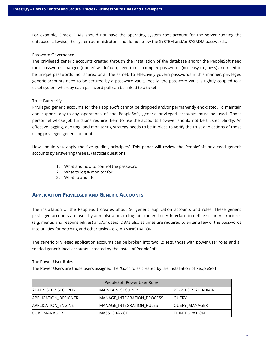For example, Oracle DBAs should not have the operating system root account for the server running the database. Likewise, the system administrators should not know the SYSTEM and/or SYSADM passwords.

#### Password Governance

The privileged generic accounts created through the installation of the database and/or the PeopleSoft need their passwords changed (not left as default), need to use complex passwords (not easy to guess) and need to be unique passwords (not shared or all the same). To effectively govern passwords in this manner, privileged generic accounts need to be secured by a password vault. Ideally, the password vault is tightly coupled to a ticket system whereby each password pull can be linked to a ticket.

#### Trust-But-Verify

Privileged generic accounts for the PeopleSoft cannot be dropped and/or permanently end-dated. To maintain and support day-to-day operations of the PeopleSoft, generic privileged accounts must be used. Those personnel whose job functions require them to use the accounts however should not be trusted blindly. An effective logging, auditing, and monitoring strategy needs to be in place to verify the trust and actions of those using privileged generic accounts.

How should you apply the five guiding principles? This paper will review the PeopleSoft privileged generic accounts by answering three (3) tactical questions:

- 1. What and how to control the password
- 2. What to log & monitor for
- 3. What to audit for

#### **APPLICATION PRIVILEGED AND GENERIC ACCOUNTS**

The installation of the PeopleSoft creates about 50 generic application accounts and roles. These generic privileged accounts are used by administrators to log into the end-user interface to define security structures (e.g. menus and responsibilities) and/or users. DBAs also at times are required to enter a few of the passwords into utilities for patching and other tasks – e.g. ADMINISTRATOR.

The generic privileged application accounts can be broken into two (2) sets, those with power user roles and all seeded generic local accounts - created by the install of PeopleSoft.

#### The Power User Roles

The Power Users are those users assigned the "God" roles created by the installation of PeopleSoft.

| PeopleSoft Power User Roles |                            |                          |
|-----------------------------|----------------------------|--------------------------|
| ADMINISTER SECURITY         | MAINTAIN SECURITY          | <b>PTPP PORTAL ADMIN</b> |
| APPLICATION DESIGNER        | MANAGE_INTEGRATION_PROCESS | <b>OUERY</b>             |
| APPLICATION ENGINE          | MANAGE_INTEGRATION RULES   | QUERY_MANAGER            |
| <b>ICUBE MANAGER</b>        | MASS CHANGE                | <b>TI INTEGRATION</b>    |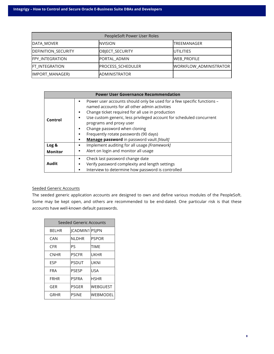| PeopleSoft Power User Roles |                      |                        |
|-----------------------------|----------------------|------------------------|
| DATA MOVER                  | <b>NVISION</b>       | <b>ITREEMANAGER</b>    |
| DEFINITION_SECURITY         | OBJECT_SECURITY      | <b>UTILITIES</b>       |
| <b>FPY INTEGRATION</b>      | PORTAL ADMIN         | <b>WEB PROFILE</b>     |
| <b>FT INTEGRATION</b>       | PROCESS_SCHEDULER    | WORKFLOW_ADMINISTRATOR |
| IMPORT_MANAGER)             | <b>ADMINISTRATOR</b> |                        |

|                | <b>Power User Governance Recommendation</b>                                                                                                                                                                                                                                                                                                                                                                                                     |
|----------------|-------------------------------------------------------------------------------------------------------------------------------------------------------------------------------------------------------------------------------------------------------------------------------------------------------------------------------------------------------------------------------------------------------------------------------------------------|
| Control        | Power user accounts should only be used for a few specific functions –<br>$\blacksquare$<br>named accounts for all other admin activities<br>Change ticket required for all use in production<br>٠<br>Use custom generic, less privileged account for scheduled concurrent<br>٠<br>programs and proxy user<br>Change password when cloning<br>٠<br>Frequently rotate passwords (90 days)<br>٠<br>Manage password in password vault [Vault]<br>٠ |
| Log &          | Implement auditing for all usage [Framework]                                                                                                                                                                                                                                                                                                                                                                                                    |
| <b>Monitor</b> | Alert on login and monitor all usage<br>$\blacksquare$                                                                                                                                                                                                                                                                                                                                                                                          |
| Audit          | Check last password change date<br>٠<br>Verify password complexity and length settings<br>٠<br>Interview to determine how password is controlled<br>٠                                                                                                                                                                                                                                                                                           |

#### Seeded Generic Accounts

The seeded generic application accounts are designed to own and define various modules of the PeopleSoft. Some may be kept open, and others are recommended to be end-dated. One particular risk is that these accounts have well-known default passwords.

| Seeded Generic Accounts |                |              |
|-------------------------|----------------|--------------|
| <b>BELHR</b>            | JCADMIN1 PSJPN |              |
| CAN                     | <b>NLDHR</b>   | <b>PSPOR</b> |
| CFR                     | PS             | TIME         |
| <b>CNHR</b>             | <b>PSCFR</b>   | UKHR         |
| ESP                     | PSDUT          | UKNI         |
| FRA                     | <b>PSESP</b>   | USA          |
| <b>FRHR</b>             | <b>PSFRA</b>   | <b>HSHR</b>  |
| GER                     | PSGER          | WEBGUEST     |
| GRHR                    | <b>PSINE</b>   | WEBMODEL     |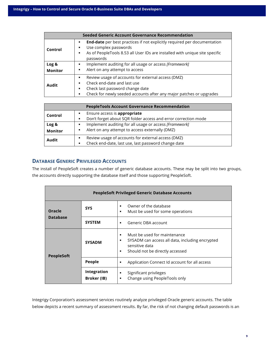|                         | <b>Seeded Generic Account Governance Recommendation</b>                                                                                                                                                                                   |
|-------------------------|-------------------------------------------------------------------------------------------------------------------------------------------------------------------------------------------------------------------------------------------|
| Control                 | <b>End-date</b> per best practices if not explicitly required per documentation<br>Use complex passwords<br>٠<br>As of PeopleTools 8.53 all User IDs are installed with unique site specific<br>٠<br>passwords                            |
| Log &<br><b>Monitor</b> | Implement auditing for all usage or access [Framework]<br>Alert on any attempt to access<br>٠                                                                                                                                             |
| Audit                   | Review usage of accounts for external access (DMZ)<br>٠<br>Check end-date and last use<br>$\blacksquare$<br>Check last password change date<br>٠<br>Check for newly seeded accounts after any major patches or upgrades<br>$\blacksquare$ |

|                  | <b>PeopleTools Account Governance Recommendation</b>                                                                        |
|------------------|-----------------------------------------------------------------------------------------------------------------------------|
| Control          | Ensure access is appropriate<br>Don't forget about SQR folder access and error correction mode                              |
| Log &<br>Monitor | Implement auditing for all usage or access [Framework]<br>Alert on any attempt to access externally (DMZ)                   |
| Audit            | Review usage of accounts for external access (DMZ)<br>Check end-date, last use, last password change date<br>$\blacksquare$ |

#### **DATABASE GENERIC PRIVILEGED ACCOUNTS**

The install of PeopleSoft creates a number of generic database accounts. These may be split into two groups, the accounts directly supporting the database itself and those supporting PeopleSoft.

| <b>PeopleSoft Privileged Generic Database Accounts</b> |                                   |                                                                                                                                                                                            |
|--------------------------------------------------------|-----------------------------------|--------------------------------------------------------------------------------------------------------------------------------------------------------------------------------------------|
| Oracle                                                 | <b>SYS</b>                        | Owner of the database<br>$\blacksquare$<br>Must be used for some operations<br>$\blacksquare$                                                                                              |
| <b>Database</b>                                        | <b>SYSTEM</b>                     | Generic DBA account<br>$\blacksquare$                                                                                                                                                      |
| <b>PeopleSoft</b>                                      | <b>SYSADM</b>                     | Must be used for maintenance<br>$\blacksquare$<br>SYSADM can access all data, including encrypted<br>$\blacksquare$<br>sensitive data<br>Should not be directly accessed<br>$\blacksquare$ |
|                                                        | People                            | Application Connect Id account for all access<br>٠                                                                                                                                         |
|                                                        | Integration<br><b>Broker</b> (IB) | Significant privileges<br>٠<br>Change using PeopleTools only<br>٠                                                                                                                          |

Integrigy Corporation's assessment services routinely analyze privileged Oracle generic accounts. The table below depicts a recent summary of assessment results. By far, the risk of not changing default passwords is an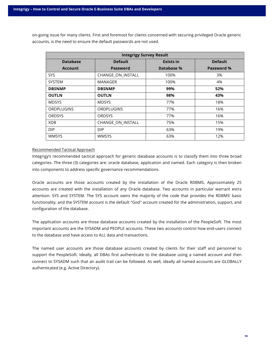on-going issue for many clients. First and foremost for clients concerned with securing privileged Oracle generic accounts, is the need to ensure the default passwords are not used.

| <b>Integrigy Survey Result</b> |                   |            |                |  |
|--------------------------------|-------------------|------------|----------------|--|
| <b>Database</b>                | <b>Default</b>    |            | <b>Default</b> |  |
| <b>Account</b>                 | <b>Password</b>   | Database % | Password %     |  |
| <b>SYS</b>                     | CHANGE ON INSTALL | 100%       | 3%             |  |
| <b>SYSTEM</b>                  | MANAGER           | 100%       | 4%             |  |
| <b>DBSNMP</b>                  | <b>DBSNMP</b>     | 99%        | 52%            |  |
| <b>OUTLN</b>                   | <b>OUTLN</b>      | 98%        | 43%            |  |
| <b>MDSYS</b>                   | <b>MDSYS</b>      | 77%        | 18%            |  |
| ORDPLUGINS                     | ORDPLUGINS        | 77%        | 16%            |  |
| <b>ORDSYS</b>                  | <b>ORDSYS</b>     | 77%        | 16%            |  |
| XDB                            | CHANGE_ON_INSTALL | 75%        | 15%            |  |
| DIP.                           | <b>DIP</b>        | 63%        | 19%            |  |
| WMSYS                          | <b>WMSYS</b>      | 63%        | 12%            |  |

#### Recommended Tactical Approach

Integrigy's recommended tactical approach for generic database accounts is to classify them into three broad categories. The three (3) categories are: oracle database, application and named. Each category is then broken into components to address specific governance recommendations.

Oracle accounts are those accounts created by the installation of the Oracle RDBMS. Approximately 25 accounts are created with the installation of any Oracle database. Two accounts in particular warrant extra attention: SYS and SYSTEM. The SYS account owns the majority of the code that provides the RDBMS' basic functionality, and the SYSTEM account is the default "God" account created for the administration, support, and configuration of the database.

The application accounts are those database accounts created by the installation of the PeopleSoft. The most important accounts are the SYSADM and PEOPLE accounts. These two accounts control how end-users connect to the database and have access to ALL data and transactions.

The named user accounts are those database accounts created by clients for their staff and personnel to support the PeopleSoft. Ideally, all DBAs first authenticate to the database using a named account and then connect to SYSADM such that an audit trail can be followed. As well, ideally all named accounts are GLOBALLY authenticated (e.g. Active Directory).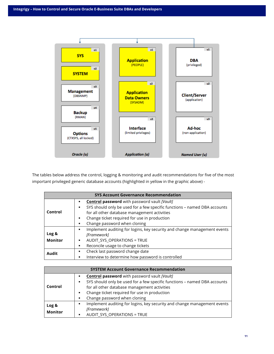

The tables below address the control, logging & monitoring and audit recommendations for five of the most important privileged generic database accounts (highlighted in yellow in the graphic above) -

| <b>SYS Account Governance Recommendation</b> |                                                                                |  |
|----------------------------------------------|--------------------------------------------------------------------------------|--|
|                                              | <b>Control password</b> with password vault [Vault]                            |  |
|                                              | SYS should only be used for a few specific functions - named DBA accounts<br>٠ |  |
| Control                                      | for all other database management activities                                   |  |
|                                              | Change ticket required for use in production<br>٠                              |  |
|                                              | Change password when cloning<br>٠                                              |  |
|                                              | Implement auditing for logins, key security and change management events<br>٠  |  |
| Log &                                        | [Framework]                                                                    |  |
| <b>Monitor</b>                               | AUDIT SYS OPERATIONS = TRUE<br>٠                                               |  |
|                                              | Reconcile usage to change tickets                                              |  |
| Audit                                        | Check last password change date<br>٠                                           |  |
|                                              | Interview to determine how password is controlled                              |  |

|                         | <b>SYSTEM Account Governance Recommendation</b>                                                                                                                                                                                                           |
|-------------------------|-----------------------------------------------------------------------------------------------------------------------------------------------------------------------------------------------------------------------------------------------------------|
| Control                 | Control password with password vault [Vault]<br>SYS should only be used for a few specific functions - named DBA accounts<br>for all other database management activities<br>Change ticket required for use in production<br>Change password when cloning |
| Log &<br><b>Monitor</b> | Implement auditing for logins, key security and change management events<br>[Framework]<br>AUDIT SYS OPERATIONS = TRUE                                                                                                                                    |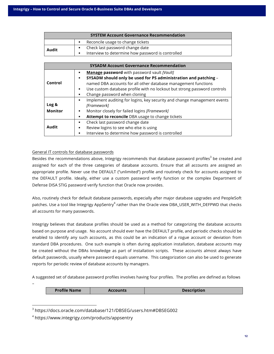| <b>SYSTEM Account Governance Recommendation</b> |                                                   |  |  |  |
|-------------------------------------------------|---------------------------------------------------|--|--|--|
|                                                 | Reconcile usage to change tickets                 |  |  |  |
| Audit                                           | Check last password change date                   |  |  |  |
|                                                 | Interview to determine how password is controlled |  |  |  |

|                | <b>SYSADM Account Governance Recommendation</b>                                                                |
|----------------|----------------------------------------------------------------------------------------------------------------|
|                | Manage password with password vault [Vault]<br>SYSADM should only be used for PS administration and patching - |
| Control        | named DBA accounts for all other database management functions                                                 |
|                | Use custom database profile with no lockout but strong password controls                                       |
|                | Change password when cloning                                                                                   |
|                | Implement auditing for logins, key security and change management events<br>٠                                  |
| Log &          | [Framework]                                                                                                    |
| <b>Monitor</b> | Monitor closely for failed logins [Framework]                                                                  |
|                | Attempt to reconcile DBA usage to change tickets                                                               |
|                | Check last password change date                                                                                |
| Audit          | Review logins to see who else is using                                                                         |
|                | Interview to determine how password is controlled                                                              |

#### General IT controls for database passwords

Besides the recommendations above, Integrigy recommends that database password profiles<sup>3</sup> be created and assigned for each of the three categories of database accounts. Ensure that all accounts are assigned an appropriate profile. Never use the DEFAULT ("unlimited") profile and routinely check for accounts assigned to the DEFAULT profile. Ideally, either use a custom password verify function or the complex Department of Defense DISA STIG password verify function that Oracle now provides.

Also, routinely check for default database passwords, especially after major database upgrades and PeopleSoft patches. Use a tool like Integrigy AppSentry<sup>4</sup> rather than the Oracle view DBA\_USER\_WITH\_DEFPWD that checks all accounts for many passwords.

Integrigy believes that database profiles should be used as a method for categorizing the database accounts based on purpose and usage. No account should ever have the DEFAULT profile, and periodic checks should be enabled to identify any such accounts, as this could be an indication of a rogue account or deviation from standard DBA procedures. One such example is often during application installation, database accounts may be created without the DBAs knowledge as part of installation scripts. These accounts almost always have default passwords, usually where password equals username. This categorization can also be used to generate reports for periodic review of database accounts by managers.

A suggested set of database password profiles involves having four profiles. The profiles are defined as follows

| <b>Profile Name</b> | <b>Accounts</b> | <b>Description</b> |
|---------------------|-----------------|--------------------|

 <sup>3</sup> https://docs.oracle.com/database/121/DBSEG/users.htm#DBSEG002

–

<sup>4</sup> https://www.integrigy.com/products/appsentry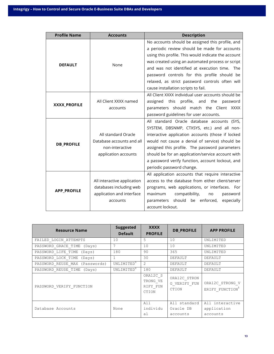| <b>Profile Name</b> | <b>Accounts</b>                                                          | <b>Description</b>                                                                                 |  |  |  |
|---------------------|--------------------------------------------------------------------------|----------------------------------------------------------------------------------------------------|--|--|--|
|                     |                                                                          | No accounts should be assigned this profile, and                                                   |  |  |  |
|                     |                                                                          | a periodic review should be made for accounts                                                      |  |  |  |
|                     |                                                                          | using this profile. This would indicate the account                                                |  |  |  |
| <b>DEFAULT</b>      | None                                                                     | was created using an automated process or script                                                   |  |  |  |
|                     |                                                                          | and was not identified at execution time. The                                                      |  |  |  |
|                     |                                                                          | password controls for this profile should be                                                       |  |  |  |
|                     |                                                                          | relaxed, as strict password controls often will                                                    |  |  |  |
|                     |                                                                          | cause installation scripts to fail.                                                                |  |  |  |
|                     |                                                                          | All Client XXXX individual user accounts should be                                                 |  |  |  |
| XXXX_PROFILE        | All Client XXXX named                                                    | profile, and the password<br>assigned<br>this                                                      |  |  |  |
|                     | accounts                                                                 | parameters should match the Client XXXX                                                            |  |  |  |
|                     |                                                                          | password guidelines for user accounts.                                                             |  |  |  |
|                     |                                                                          | All standard Oracle database accounts (SYS,                                                        |  |  |  |
|                     |                                                                          | SYSTEM, DBSNMP, CTXSYS, etc.) and all non-                                                         |  |  |  |
|                     | All standard Oracle<br>interactive application accounts (those if locked |                                                                                                    |  |  |  |
| <b>DB_PROFILE</b>   | Database accounts and all                                                | would not cause a denial of service) should be                                                     |  |  |  |
|                     | non-interactive                                                          | assigned this profile. The password parameters                                                     |  |  |  |
|                     | application accounts                                                     | should be for an application/service account with                                                  |  |  |  |
|                     |                                                                          | a password verify function, account lockout, and                                                   |  |  |  |
|                     |                                                                          | periodic password change.                                                                          |  |  |  |
|                     |                                                                          | All application accounts that require interactive                                                  |  |  |  |
|                     | All interactive application                                              | access to the database from either client/server<br>programs, web applications, or interfaces. For |  |  |  |
| <b>APP PROFILE</b>  | databases including web                                                  |                                                                                                    |  |  |  |
|                     | application and interface                                                | maximum<br>compatibility,<br>password<br>no                                                        |  |  |  |
|                     | accounts                                                                 | parameters should be enforced,<br>especially                                                       |  |  |  |
|                     |                                                                          | account lockout.                                                                                   |  |  |  |

| <b>Resource Name</b>           | <b>Suggested</b><br><b>Default</b> | <b>XXXX</b><br><b>PROFILE</b>                    | <b>DB PROFILE</b>                     | <b>APP PROFILE</b>                         |
|--------------------------------|------------------------------------|--------------------------------------------------|---------------------------------------|--------------------------------------------|
| FAILED LOGIN ATTEMPTS          | 10                                 | 5                                                | 10                                    | UNLIMITED                                  |
| PASSWORD GRACE TIME (Days)     |                                    | 10                                               | 10                                    | UNLIMITED                                  |
| PASSWORD LIFE TIME (Days)      | 180                                | 90                                               | 365                                   | UNLIMITED                                  |
| PASSWORD LOCK TIME (Days)      |                                    | 30                                               | DEFAULT                               | DEFAULT                                    |
| PASSWORD REUSE MAX (Passwords) | UNLIMITED <sup>4</sup>             | $\overline{2}$                                   | DEFAULT                               | DEFAULT                                    |
| PASSWORD REUSE TIME (Days)     | UNLIMITED <sup>4</sup>             | 180                                              | DEFAULT                               | <b>DEFAULT</b>                             |
| PASSWORD VERIFY FUNCTION       |                                    | ORA12C S<br>TRONG VE<br>RIFY FUN<br><b>CTION</b> | ORA12C STRON<br>G VERIFY FUN<br>CTION | ORA12C STRONG V<br>ERIFY FUNCTION'         |
| Database Accounts              | None                               | All<br>individu<br>al                            | All standard<br>Oracle DB<br>accounts | All interactive<br>application<br>accounts |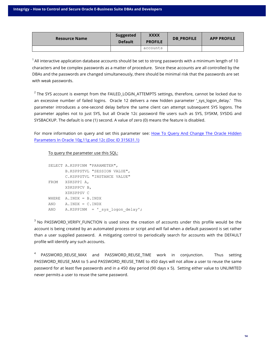| <b>Resource Name</b> | <b>Suggested</b><br><b>Default</b> | <b>XXXX</b><br><b>PROFILE</b> | <b>DB PROFILE</b> | <b>APP PROFILE</b> |
|----------------------|------------------------------------|-------------------------------|-------------------|--------------------|
|                      |                                    | accounts                      |                   |                    |

 $1$  All interactive application database accounts should be set to strong passwords with a minimum length of 10 characters and be complex passwords as a matter of procedure. Since these accounts are all controlled by the DBAs and the passwords are changed simultaneously, there should be minimal risk that the passwords are set with weak passwords.

 $2$  The SYS account is exempt from the FAILED\_LOGIN\_ATTEMPTS settings, therefore, cannot be locked due to an excessive number of failed logins. Oracle 12 delivers a new hidden parameter ' sys logon delay.' This parameter introduces a one-second delay before the same client can attempt subsequent SYS logons. The parameter applies not to just SYS, but all Oracle 12c password file users such as SYS, SYSKM, SYSDG and SYSBACKUP. The default is one (1) second. A value of zero (0) means the feature is disabled.

For more information on query and set this parameter see: How To Query And Change The Oracle Hidden Parameters In Oracle 10g,11g and 12c (Doc ID 315631.1)

To query the parameter use this SQL:

```
SELECT A.KSPPINM "PARAMETER",
       B.KSPPSTVL "SESSION VALUE",
       C.KSPPSTVL "INSTANCE VALUE"
FROM X$KSPPI A,
       X$KSPPCV B,
       X$KSPPSV C
WHERE A.INDX = B.INDX
AND A.INDX = C.INDX
AND A.KSPPINM = 'sys logon delay';
```
<sup>3</sup> No PASSWORD\_VERIFY\_FUNCTION is used since the creation of accounts under this profile would be the account is being created by an automated process or script and will fail when a default password is set rather than a user supplied password. A mitigating control to periodically search for accounts with the DEFAULT profile will identify any such accounts.

<sup>4</sup> PASSWORD REUSE MAX and PASSWORD\_REUSE\_TIME work in conjunction. Thus setting PASSWORD\_REUSE\_MAX to 5 and PASSWORD\_REUSE\_TIME to 450 days will not allow a user to reuse the same password for at least five passwords and in a 450 day period (90 days x 5). Setting either value to UNLIMITED never permits a user to reuse the same password.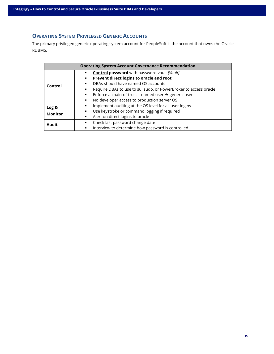### **OPERATING SYSTEM PRIVILEGED GENERIC ACCOUNTS**

The primary privileged generic operating system account for PeopleSoft is the account that owns the Oracle RDBMS.

| <b>Operating System Account Governance Recommendation</b> |                                                                                    |  |  |  |
|-----------------------------------------------------------|------------------------------------------------------------------------------------|--|--|--|
| Control                                                   | <b>Control password</b> with password vault [Vault]<br>$\blacksquare$              |  |  |  |
|                                                           | Prevent direct logins to oracle and root<br>٠                                      |  |  |  |
|                                                           | DBAs should have named OS accounts<br>$\blacksquare$                               |  |  |  |
|                                                           | Require DBAs to use to su, sudo, or PowerBroker to access oracle<br>$\blacksquare$ |  |  |  |
|                                                           | Enforce a chain-of-trust – named user $\rightarrow$ generic user<br>٠              |  |  |  |
|                                                           | No developer access to production server OS<br>٠                                   |  |  |  |
| Log &                                                     | Implement auditing at the OS level for all user logins<br>٠                        |  |  |  |
| <b>Monitor</b>                                            | Use keystroke or command logging if required<br>٠                                  |  |  |  |
|                                                           | Alert on direct logins to oracle<br>٠                                              |  |  |  |
| Audit                                                     | Check last password change date<br>$\blacksquare$                                  |  |  |  |
|                                                           | Interview to determine how password is controlled<br>$\blacksquare$                |  |  |  |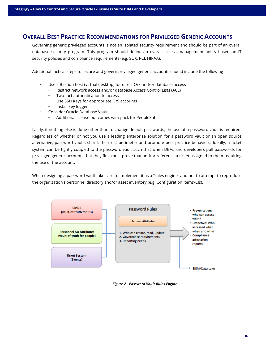## **OVERALL BEST PRACTICE RECOMMENDATIONS FOR PRIVILEGED GENERIC ACCOUNTS**

Governing generic privileged accounts is not an isolated security requirement and should be part of an overall database security program. This program should define an overall access management policy based on IT security policies and compliance requirements (e.g. SOX, PCI, HIPAA).

Additional tactical steps to secure and govern privileged generic accounts should include the following -

- Use a Bastion host (virtual desktop) for direct O/S and/or database access
	- Restrict network access and/or database Access Control Lists (ACL)
	- Two-fact authentication to access
	- Use SSH Keys for appropriate O/S accounts
	- Install key logger
- Consider Oracle Database Vault
	- Additional license but comes with pack for PeopleSoft

Lastly, if nothing else is done other than to change default passwords, the use of a password vault is required. Regardless of whether or not you use a leading enterprise solution for a password vault or an open source alternative, password vaults shrink the trust perimeter and promote best practice behaviors. Ideally, a ticket system can be tightly coupled to the password vault such that when DBAs and developers pull passwords for privileged generic accounts that they first must prove that and/or reference a ticket assigned to them requiring the use of the account.

When designing a password vault take care to implement it as a "rules engine" and not to attempt to reproduce the organization's personnel directory and/or asset inventory (e.g. Configuration Items/CIs).



*Figure 2 - Password Vault Rules Engine*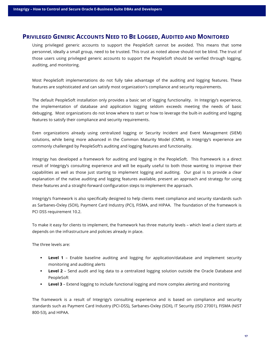## **PRIVILEGED GENERIC ACCOUNTS NEED TO BE LOGGED, AUDITED AND MONITORED**

Using privileged generic accounts to support the PeopleSoft cannot be avoided. This means that some personnel, ideally a small group, need to be trusted. This trust as noted above should not be blind. The trust of those users using privileged generic accounts to support the PeopleSoft should be verified through logging, auditing, and monitoring.

Most PeopleSoft implementations do not fully take advantage of the auditing and logging features. These features are sophisticated and can satisfy most organization's compliance and security requirements.

The default PeopleSoft installation only provides a basic set of logging functionality. In Integrigy's experience, the implementation of database and application logging seldom exceeds meeting the needs of basic debugging. Most organizations do not know where to start or how to leverage the built-in auditing and logging features to satisfy their compliance and security requirements.

Even organizations already using centralized logging or Security Incident and Event Management (SIEM) solutions, while being more advanced in the Common Maturity Model (CMM), in Integrigy's experience are commonly challenged by PeopleSoft's auditing and logging features and functionality.

Integrigy has developed a framework for auditing and logging in the PeopleSoft. This framework is a direct result of Integrigy's consulting experience and will be equally useful to both those wanting to improve their capabilities as well as those just starting to implement logging and auditing. Our goal is to provide a clear explanation of the native auditing and logging features available, present an approach and strategy for using these features and a straight-forward configuration steps to implement the approach.

Integrigy's framework is also specifically designed to help clients meet compliance and security standards such as Sarbanes-Oxley (SOX), Payment Card Industry (PCI), FISMA, and HIPAA. The foundation of the framework is PCI DSS requirement 10.2.

To make it easy for clients to implement, the framework has three maturity levels – which level a client starts at depends on the infrastructure and policies already in place.

The three levels are:

- **•** Level 1 Enable baseline auditing and logging for application/database and implement security monitoring and auditing alerts
- **Level 2** Send audit and log data to a centralized logging solution outside the Oracle Database and PeopleSoft
- **Level 3** Extend logging to include functional logging and more complex alerting and monitoring

The framework is a result of Integrigy's consulting experience and is based on compliance and security standards such as Payment Card Industry (PCI-DSS), Sarbanes-Oxley (SOX), IT Security (ISO 27001), FISMA (NIST 800-53), and HIPAA.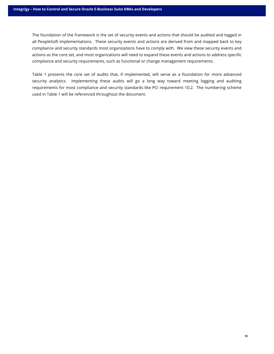The foundation of the framework is the set of security events and actions that should be audited and logged in all PeopleSoft implementations. These security events and actions are derived from and mapped back to key compliance and security standards most organizations have to comply with. We view these security events and actions as the core set, and most organizations will need to expand these events and actions to address specific compliance and security requirements, such as functional or change management requirements.

Table 1 presents the core set of audits that, if implemented, will serve as a foundation for more advanced security analytics. Implementing these audits will go a long way toward meeting logging and auditing requirements for most compliance and security standards like PCI requirement 10.2. The numbering scheme used in Table 1 will be referenced throughout the document.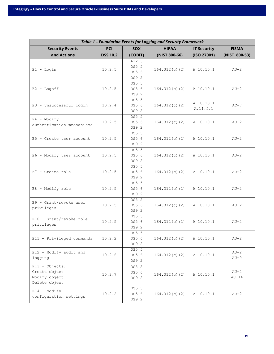| <b>Table 1 - Foundation Events for Logging and Security Framework</b> |                 |                |                  |                    |               |  |
|-----------------------------------------------------------------------|-----------------|----------------|------------------|--------------------|---------------|--|
| <b>Security Events</b>                                                | <b>PCI</b>      | <b>SOX</b>     | <b>HIPAA</b>     | <b>IT Security</b> | <b>FISMA</b>  |  |
| and Actions                                                           | <b>DSS 10.2</b> | (COBIT)        | (NIST 800-66)    | (ISO 27001)        | (NIST 800-53) |  |
|                                                                       |                 | A12.3          |                  |                    |               |  |
| $E1 -$ Login                                                          | 10.2.5          | DS5.5          | $164.312(c)$ (2) | A 10.10.1          | $AU-2$        |  |
|                                                                       |                 | DS5.6          |                  |                    |               |  |
|                                                                       |                 | DS9.2          |                  |                    |               |  |
| $E2 - Logoff$                                                         | 10.2.5          | DS5.5<br>DS5.6 |                  | A 10.10.1          | $AU-2$        |  |
|                                                                       |                 | DS9.2          | $164.312(c)$ (2) |                    |               |  |
|                                                                       |                 | DS5.5          |                  |                    |               |  |
| E3 - Unsuccessful login                                               | 10.2.4          | DS5.6          | $164.312(c)$ (2) | A 10.10.1          | $AC-7$        |  |
|                                                                       |                 | DS9.2          |                  | A.11.5.1           |               |  |
|                                                                       |                 | DS5.5          |                  |                    |               |  |
| $E4 - Modify$<br>authentication mechanisms                            | 10.2.5          | DS5.6          | $164.312(c)$ (2) | A 10.10.1          | $AU-2$        |  |
|                                                                       |                 | DS9.2          |                  |                    |               |  |
|                                                                       |                 | DS5.5          |                  |                    |               |  |
| $E5$ - Create user account                                            | 10.2.5          | DS5.6          | $164.312(c)$ (2) | A 10.10.1          | $AU-2$        |  |
|                                                                       |                 | DS9.2          |                  |                    |               |  |
|                                                                       |                 | DS5.5<br>DS5.6 |                  |                    |               |  |
| E6 - Modify user account                                              | 10.2.5          | DS9.2          | $164.312(c)$ (2) | A 10.10.1          | $AU-2$        |  |
|                                                                       |                 | DS5.5          |                  |                    |               |  |
| $E7$ - Create role                                                    | 10.2.5          | DS5.6          | $164.312(c)$ (2) | A 10.10.1          | $AU-2$        |  |
|                                                                       |                 | DS9.2          |                  |                    |               |  |
|                                                                       |                 | DS5.5          |                  |                    |               |  |
| E8 - Modify role                                                      | 10.2.5          | DS5.6          | $164.312(c)$ (2) | A 10.10.1          | $AU-2$        |  |
|                                                                       |                 | DS9.2          |                  |                    |               |  |
| E9 - Grant/revoke user                                                |                 | DS5.5          |                  |                    |               |  |
| privileges                                                            | 10.2.5          | DS5.6          | $164.312(c)$ (2) | A 10.10.1          | $AU-2$        |  |
|                                                                       |                 | DS9.2<br>DS5.5 |                  |                    |               |  |
| E10 - Grant/revoke role                                               | 10.2.5          | DS5.6          | $164.312(c)$ (2) | A 10.10.1          | $AU-2$        |  |
| privileges                                                            |                 | DS9.2          |                  |                    |               |  |
|                                                                       |                 | DS5.5          |                  |                    |               |  |
| E11 - Privileged commands                                             | 10.2.2          | DS5.6          | $164.312(c)$ (2) | A 10.10.1          | $AU-2$        |  |
|                                                                       |                 | DS9.2          |                  |                    |               |  |
| E12 - Modify audit and                                                |                 | DS5.5          |                  |                    | $AU-2$        |  |
| logging                                                               | 10.2.6          | DS5.6          | $164.312(c)$ (2) | A 10.10.1          | $AU-9$        |  |
|                                                                       |                 | DS9.2          |                  |                    |               |  |
| $E13 - 0$ bjects:                                                     |                 | DS5.5          |                  |                    |               |  |
| Create object<br>Modify object                                        | 10.2.7          | DS5.6          | $164.312(c)$ (2) | A 10.10.1          | $AU-2$        |  |
| Delete object                                                         |                 | DS9.2          |                  |                    | $AU-14$       |  |
|                                                                       |                 | DS5.5          |                  |                    |               |  |
| $E14 - Modify$                                                        | 10.2.2          | DS5.6          | $164.312(c)$ (2) | A 10.10.1          | $AU-2$        |  |
| configuration settings                                                |                 | DS9.2          |                  |                    |               |  |
|                                                                       |                 |                |                  |                    |               |  |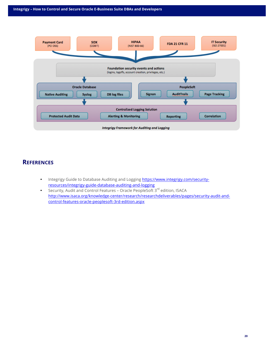

## **REFERENCES**

- Integrigy Guide to Database Auditing and Logging https://www.integrigy.com/securityresources/integrigy-guide-database-auditing-and-logging
- Security, Audit and Control Features Oracle PeopleSoft 3<sup>rd</sup> edition, ISACA http://www.isaca.org/knowledge-center/research/researchdeliverables/pages/security-audit-andcontrol-features-oracle-peoplesoft-3rd-edition.aspx